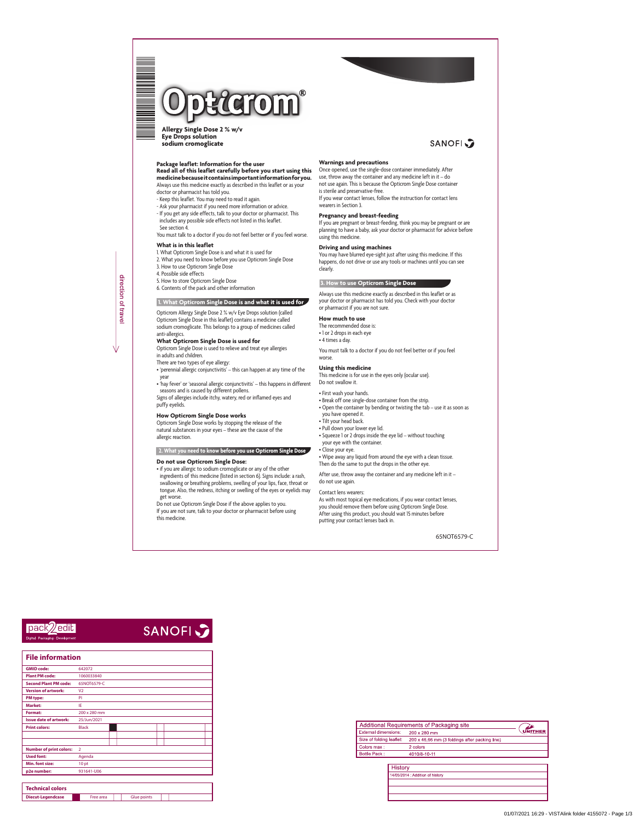

**Allergy Single Dose 2 % w/v Eye Drops solution sodium cromoglicate**

## **Package leaflet: Information for the user Read all of this leaflet carefully before you start using this medicine because it contains important information for you.**

Always use this medicine exactly as described in this leaflet or as your doctor or pharmacist has told you.

- Keep this leaflet. You may need to read it again.
- Ask your pharmacist if you need more information or advice.
- If you get any side effects, talk to your doctor or pharmacist. This includes any possible side effects not listed in this leaflet. See section 4.

You must talk to a doctor if you do not feel better or if you feel worse.

#### **What is in this leaflet**

- 1. What Opticrom Single Dose is and what it is used for
- 2. What you need to know before you use Opticrom Single Dose
- 3. How to use Opticrom Single Dose
- 4. Possible side effects
- 5. How to store Opticrom Single Dose
- 6. Contents of the pack and other information

#### **1. What Opticrom Single Dose is and what it is used for**

Opticrom Allergy Single Dose 2 % w/v Eye Drops solution (called Opticrom Single Dose in this leaflet) contains a medicine called sodium cromoglicate. This belongs to a group of medicines called anti-allergics.

# **What Opticrom Single Dose is used for**

Opticrom Single Dose is used to relieve and treat eye allergies in adults and children.

There are two types of eye allergy:

- 'perennial allergic conjunctivitis' this can happen at any time of the year
- 'hay fever' or 'seasonal allergic conjunctivitis' this happens in different seasons and is caused by different pollens.

Signs of allergies include itchy, watery, red or inflamed eyes and puffy eyelids.

#### **How Opticrom Single Dose works**

Opticrom Single Dose works by stopping the release of the natural substances in your eyes – these are the cause of the allergic reaction.

### **2. What you need to know before you use Opticrom Single Dose**

#### **Do not use Opticrom Single Dose:**

• if you are allergic to sodium cromoglicate or any of the other ingredients of this medicine (listed in section 6). Signs include: a rash, swallowing or breathing problems, swelling of your lips, face, throat or tongue. Also, the redness, itching or swelling of the eyes or eyelids may get worse.

Do not use Opticrom Single Dose if the above applies to you. If you are not sure, talk to your doctor or pharmacist before using this medicine.

# **SANOFI**

#### **Warnings and precautions**

Once opened, use the single-dose container immediately. After use, throw away the container and any medicine left in it – do not use again. This is because the Opticrom Single Dose container is sterile and preservative-free.

If you wear contact lenses, follow the instruction for contact lens wearers in Section 3.

#### **Pregnancy and breast-feeding**

If you are pregnant or breast-feeding, think you may be pregnant or are planning to have a baby, ask your doctor or pharmacist for advice before using this medicine.

#### **Driving and using machines**

You may have blurred eye-sight just after using this medicine. If this happens, do not drive or use any tools or machines until you can see clearly.

#### **3. How to use Opticrom Single Dose**

Always use this medicine exactly as described in this leaflet or as your doctor or pharmacist has told you. Check with your doctor or pharmacist if you are not sure.

#### **How much to use**

The recommended dose is: • 1 or 2 drops in each eye • 4 times a day.

You must talk to a doctor if you do not feel better or if you feel worse.

#### **Using this medicine**

This medicine is for use in the eyes only (ocular use). Do not swallow it.

• First wash your hands.

- Break off one single-dose container from the strip.
- Open the container by bending or twisting the tab use it as soon as

you have opened it.

- Tilt your head back.
- Pull down your lower eye lid.
- Squeeze 1 or 2 drops inside the eye lid without touching your eye with the container.
- Close your eye.

• Wipe away any liquid from around the eye with a clean tissue. Then do the same to put the drops in the other eye.

After use, throw away the container and any medicine left in it – do not use again.

#### Contact lens wearers:

As with most topical eye medications, if you wear contact lenses, you should remove them before using Opticrom Single Dose. After using this product, you should wait 15 minutes before putting your contact lenses back in.

direction of travel

n dia kaominina mpikambana amin'ny fivondronan-kaominin'i Eduard ao Frantsa.<br>Ny INSEE dia mampiasa ny kaodim-paositra 61149.<br>I Romano Maria no ben'ny tanàna mandritry ny taona 2008–2014.



**SANOFI** 

| Technical colors         |           |             |  |
|--------------------------|-----------|-------------|--|
| <b>Diecut-Legendcase</b> | Free area | Glue points |  |

| Additional Requirements of Packaging site |                                                |                |
|-------------------------------------------|------------------------------------------------|----------------|
| <b>External dimensions:</b>               | 200 x 280 mm                                   | <b>UNITHER</b> |
| Size of folding leaflet:                  | 200 x 46,66 mm (3 foldings after packing line) |                |
| Colors max:                               | 2 colors                                       |                |
| <b>Bottle Pack:</b>                       | 4010/8-10-11                                   |                |

| <b>History</b>                   |  |  |
|----------------------------------|--|--|
| 14/05/2014 : Addition of history |  |  |
|                                  |  |  |
|                                  |  |  |
|                                  |  |  |

| <b>File information</b>        |                  |  |  |  |  |
|--------------------------------|------------------|--|--|--|--|
| <b>GMID code:</b>              | 642072           |  |  |  |  |
| <b>Plant PM code:</b>          | 1060033840       |  |  |  |  |
| <b>Second Plant PM code:</b>   | 65NOT6579-C      |  |  |  |  |
| <b>Version of artwork:</b>     | V <sub>2</sub>   |  |  |  |  |
| <b>PM</b> type:                | PI               |  |  |  |  |
| <b>Market:</b>                 | IE               |  |  |  |  |
| <b>Format:</b>                 | 200 x 280 mm     |  |  |  |  |
| <b>Issue date of artwork:</b>  | 25/Jun/2021      |  |  |  |  |
| <b>Print colors:</b>           | <b>Black</b>     |  |  |  |  |
|                                |                  |  |  |  |  |
| <b>Number of print colors:</b> | $\overline{2}$   |  |  |  |  |
| <b>Used font:</b>              | Agenda           |  |  |  |  |
| Min. font size:                | 10 <sub>pt</sub> |  |  |  |  |
| p2e number:                    | 931641-U06       |  |  |  |  |